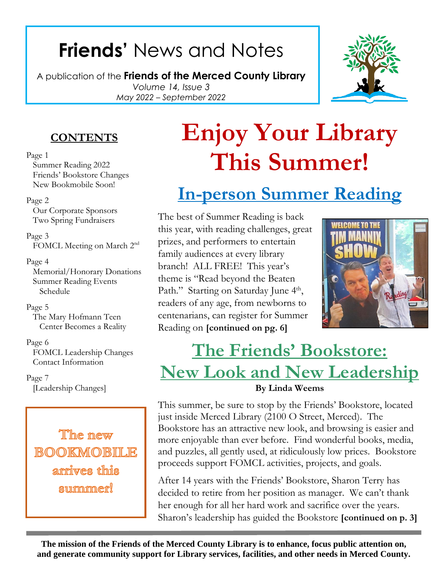# **Friends'** News and Notes

A publication of the **Friends of the Merced County Library**

*Volume 14, Issue 3 May 2022 – September 2022*

# **CONTENTS**

#### Page 1

 Summer Reading 2022 Friends' Bookstore Changes New Bookmobile Soon!

#### Page 2

 Our Corporate Sponsors Two Spring Fundraisers

Page 3 FOMCL Meeting on March 2nd

#### Page 4

 Memorial/Honorary Donations Summer Reading Events Schedule

## Page 5

 The Mary Hofmann Teen Center Becomes a Reality

#### Page 6 FOMCL Leadership Changes Contact Information

Page 7 [Leadership Changes]

The new **BOOKMOBILE** arrives this summer!

# **Enjoy Your Library This Summer!**

# **In-person Summer Reading**

The best of Summer Reading is back this year, with reading challenges, great prizes, and performers to entertain family audiences at every library branch! ALL FREE! This year's theme is "Read beyond the Beaten Path." Starting on Saturday June 4<sup>th</sup>, readers of any age, from newborns to centenarians, can register for Summer Reading on **[continued on pg. 6]**



# **The Friends' Bookstore: New Look and New Leadership By Linda Weems**

This summer, be sure to stop by the Friends' Bookstore, located just inside Merced Library (2100 O Street, Merced). The Bookstore has an attractive new look, and browsing is easier and more enjoyable than ever before. Find wonderful books, media, and puzzles, all gently used, at ridiculously low prices. Bookstore proceeds support FOMCL activities, projects, and goals.

After 14 years with the Friends' Bookstore, Sharon Terry has decided to retire from her position as manager. We can't thank her enough for all her hard work and sacrifice over the years. Sharon's leadership has guided the Bookstore **[continued on p. 3]**

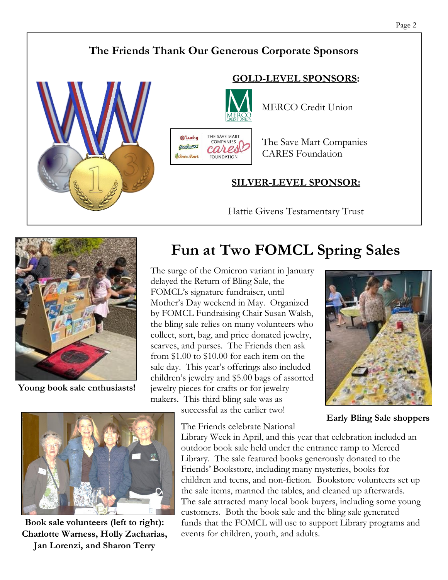## **The Friends Thank Our Generous Corporate Sponsors**

cares

FOUNDATION

Save Mart





The Save Mart Companies CARES Foundation

#### **SILVER-LEVEL SPONSOR:**

Hattie Givens Testamentary Trust



**Young book sale enthusiasts!**



**Book sale volunteers (left to right): Charlotte Warness, Holly Zacharias, Jan Lorenzi, and Sharon Terry**

# **Fun at Two FOMCL Spring Sales**

The surge of the Omicron variant in January delayed the Return of Bling Sale, the FOMCL's signature fundraiser, until Mother's Day weekend in May. Organized by FOMCL Fundraising Chair Susan Walsh, the bling sale relies on many volunteers who collect, sort, bag, and price donated jewelry, scarves, and purses. The Friends then ask from \$1.00 to \$10.00 for each item on the sale day. This year's offerings also included children's jewelry and \$5.00 bags of assorted jewelry pieces for crafts or for jewelry makers. This third bling sale was as

successful as the earlier two!

The Friends celebrate National



**Early Bling Sale shoppers** 

Library Week in April, and this year that celebration included an outdoor book sale held under the entrance ramp to Merced Library. The sale featured books generously donated to the Friends' Bookstore, including many mysteries, books for children and teens, and non-fiction. Bookstore volunteers set up the sale items, manned the tables, and cleaned up afterwards. The sale attracted many local book buyers, including some young customers. Both the book sale and the bling sale generated funds that the FOMCL will use to support Library programs and events for children, youth, and adults.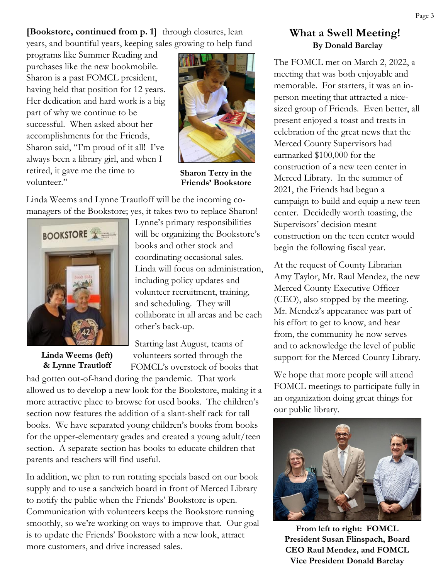**[Bookstore, continued from p. 1]** through closures, lean years, and bountiful years, keeping sales growing to help fund

programs like Summer Reading and purchases like the new bookmobile. Sharon is a past FOMCL president, having held that position for 12 years. Her dedication and hard work is a big part of why we continue to be successful. When asked about her accomplishments for the Friends, Sharon said, "I'm proud of it all! I've always been a library girl, and when I retired, it gave me the time to volunteer."



**Sharon Terry in the Friends' Bookstore**

Linda Weems and Lynne Trautloff will be the incoming comanagers of the Bookstore; yes, it takes two to replace Sharon!



**Linda Weems (left) & Lynne Trautloff**

Lynne's primary responsibilities will be organizing the Bookstore's books and other stock and coordinating occasional sales. Linda will focus on administration, including policy updates and volunteer recruitment, training, and scheduling. They will collaborate in all areas and be each other's back-up.

Starting last August, teams of volunteers sorted through the FOMCL's overstock of books that

had gotten out-of-hand during the pandemic. That work allowed us to develop a new look for the Bookstore, making it a more attractive place to browse for used books. The children's section now features the addition of a slant-shelf rack for tall books. We have separated young children's books from books for the upper-elementary grades and created a young adult/teen section. A separate section has books to educate children that parents and teachers will find useful.

In addition, we plan to run rotating specials based on our book supply and to use a sandwich board in front of Merced Library to notify the public when the Friends' Bookstore is open. Communication with volunteers keeps the Bookstore running smoothly, so we're working on ways to improve that. Our goal is to update the Friends' Bookstore with a new look, attract more customers, and drive increased sales.

#### **What a Swell Meeting! By Donald Barclay**

The FOMCL met on March 2, 2022, a meeting that was both enjoyable and memorable. For starters, it was an inperson meeting that attracted a nicesized group of Friends. Even better, all present enjoyed a toast and treats in celebration of the great news that the Merced County Supervisors had earmarked \$100,000 for the construction of a new teen center in Merced Library. In the summer of 2021, the Friends had begun a campaign to build and equip a new teen center. Decidedly worth toasting, the Supervisors' decision meant construction on the teen center would begin the following fiscal year.

At the request of County Librarian Amy Taylor, Mr. Raul Mendez, the new Merced County Executive Officer (CEO), also stopped by the meeting. Mr. Mendez's appearance was part of his effort to get to know, and hear from, the community he now serves and to acknowledge the level of public support for the Merced County Library.

We hope that more people will attend FOMCL meetings to participate fully in an organization doing great things for our public library.



**From left to right: FOMCL President Susan Flinspach, Board CEO Raul Mendez, and FOMCL Vice President Donald Barclay**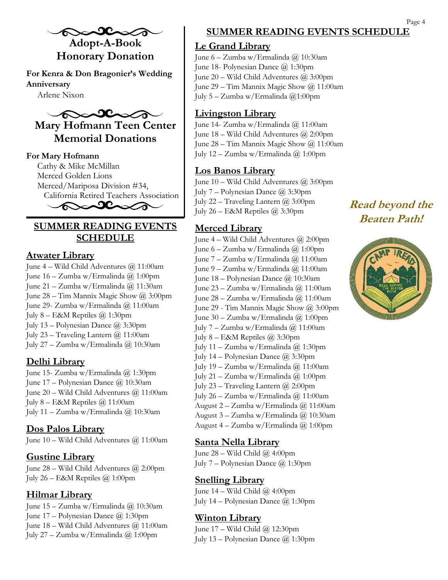```
\inftyAdopt-A-Book
```
**Honorary Donation**

**For Kenra & Don Bragonier's Wedding Anniversary**

Arlene Nixon



**Mary Hofmann Teen Center Memorial Donations**

#### **For Mary Hofmann**

 Cathy & Mike McMillan Merced Golden Lions Merced/Mariposa Division #34, California Retired Teachers Association anthon

#### **SUMMER READING EVENTS SCHEDULE**

#### **Atwater Library**

June 4 – Wild Child Adventures @ 11:00am June 16 – Zumba w/Ermalinda @ 1:00pm June 21 – Zumba w/Ermalinda @ 11:30am June 28 – Tim Mannix Magic Show @ 3:00pm June 29- Zumba w/Ermalinda @ 11:00am July  $8 - E\&M$  Reptiles  $\omega$  1:30pm July 13 – Polynesian Dance @ 3:30pm July 23 – Traveling Lantern @ 11:00am July 27 – Zumba w/Ermalinda @ 10:30am

#### **Delhi Library**

June 15- Zumba w/Ermalinda @ 1:30pm June 17 – Polynesian Dance @ 10:30am June 20 – Wild Child Adventures @ 11:00am July 8 – E&M Reptiles @ 11:00am July 11 – Zumba w/Ermalinda @ 10:30am

#### **Dos Palos Library**

June 10 – Wild Child Adventures @ 11:00am

#### **Gustine Library**

June 28 – Wild Child Adventures @ 2:00pm July 26 – E&M Reptiles @ 1:00pm

#### **Hilmar Library**

June 15 – Zumba w/Ermalinda @ 10:30am June 17 – Polynesian Dance @ 1:30pm June 18 – Wild Child Adventures @ 11:00am July 27 – Zumba w/Ermalinda @ 1:00pm

## **SUMMER READING EVENTS SCHEDULE**

#### **Le Grand Library**

June 6 – Zumba w/Ermalinda @ 10:30am June 18- Polynesian Dance @ 1:30pm June 20 – Wild Child Adventures @ 3:00pm June 29 – Tim Mannix Magic Show @ 11:00am July 5 – Zumba w/Ermalinda @1:00pm

#### **Livingston Library**

June 14- Zumba w/Ermalinda @ 11:00am June 18 – Wild Child Adventures @ 2:00pm June 28 – Tim Mannix Magic Show @ 11:00am July 12 – Zumba w/Ermalinda @ 1:00pm

#### **Los Banos Library**

June 10 – Wild Child Adventures @ 3:00pm July 7 – Polynesian Dance @ 3:30pm July 22 – Traveling Lantern @ 3:00pm July 26 – E&M Reptiles @ 3:30pm

### **Merced Library**

June 4 – Wild Child Adventures @ 2:00pm June 6 – Zumba w/Ermalinda @ 1:00pm June 7 – Zumba w/Ermalinda @ 11:00am June 9 – Zumba w/Ermalinda @ 11:00am June 18 – Polynesian Dance @ 10:30am June 23 – Zumba w/Ermalinda @ 11:00am June 28 – Zumba w/Ermalinda @ 11:00am June 29 - Tim Mannix Magic Show @ 3:00pm June 30 – Zumba w/Ermalinda @ 1:00pm July 7 – Zumba w/Ermalinda @ 11:00am July 8 – E&M Reptiles @ 3:30pm July 11 – Zumba w/Ermalinda @ 1:30pm July 14 – Polynesian Dance  $\omega$  3:30pm July 19 – Zumba w/Ermalinda @ 11:00am July 21 – Zumba w/Ermalinda @ 1:00pm July 23 – Traveling Lantern @ 2:00pm July 26 – Zumba w/Ermalinda @ 11:00am August 2 – Zumba w/Ermalinda @ 11:00am August 3 – Zumba w/Ermalinda @ 10:30am August 4 – Zumba w/Ermalinda @ 1:00pm

#### **Santa Nella Library**

June 28 – Wild Child @ 4:00pm July 7 – Polynesian Dance @ 1:30pm

#### **Snelling Library**

June  $14 -$  Wild Child  $\omega$  4:00pm July 14 – Polynesian Dance @ 1:30pm

#### **Winton Library**

June 17 – Wild Child @ 12:30pm July 13 – Polynesian Dance @ 1:30pm

# **Read beyond the Beaten Path!**

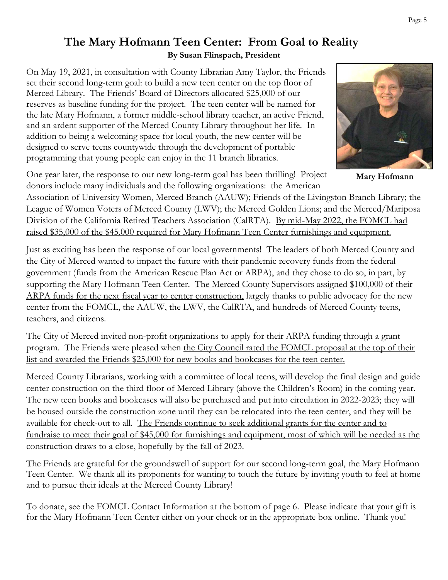#### **The Mary Hofmann Teen Center: From Goal to Reality By Susan Flinspach, President**

On May 19, 2021, in consultation with County Librarian Amy Taylor, the Friends set their second long-term goal: to build a new teen center on the top floor of Merced Library. The Friends' Board of Directors allocated \$25,000 of our reserves as baseline funding for the project. The teen center will be named for the late Mary Hofmann, a former middle-school library teacher, an active Friend, and an ardent supporter of the Merced County Library throughout her life. In addition to being a welcoming space for local youth, the new center will be designed to serve teens countywide through the development of portable programming that young people can enjoy in the 11 branch libraries.

One year later, the response to our new long-term goal has been thrilling! Project donors include many individuals and the following organizations: the American

Association of University Women, Merced Branch (AAUW); Friends of the Livingston Branch Library; the League of Women Voters of Merced County (LWV); the Merced Golden Lions; and the Merced/Mariposa Division of the California Retired Teachers Association (CalRTA). By mid-May 2022, the FOMCL had raised \$35,000 of the \$45,000 required for Mary Hofmann Teen Center furnishings and equipment.

Just as exciting has been the response of our local governments! The leaders of both Merced County and the City of Merced wanted to impact the future with their pandemic recovery funds from the federal government (funds from the American Rescue Plan Act or ARPA), and they chose to do so, in part, by supporting the Mary Hofmann Teen Center. The Merced County Supervisors assigned \$100,000 of their ARPA funds for the next fiscal year to center construction, largely thanks to public advocacy for the new center from the FOMCL, the AAUW, the LWV, the CalRTA, and hundreds of Merced County teens, teachers, and citizens.

The City of Merced invited non-profit organizations to apply for their ARPA funding through a grant program. The Friends were pleased when the City Council rated the FOMCL proposal at the top of their list and awarded the Friends \$25,000 for new books and bookcases for the teen center.

Merced County Librarians, working with a committee of local teens, will develop the final design and guide center construction on the third floor of Merced Library (above the Children's Room) in the coming year. The new teen books and bookcases will also be purchased and put into circulation in 2022-2023; they will be housed outside the construction zone until they can be relocated into the teen center, and they will be available for check-out to all. The Friends continue to seek additional grants for the center and to fundraise to meet their goal of \$45,000 for furnishings and equipment, most of which will be needed as the construction draws to a close, hopefully by the fall of 2023.

The Friends are grateful for the groundswell of support for our second long-term goal, the Mary Hofmann Teen Center. We thank all its proponents for wanting to touch the future by inviting youth to feel at home and to pursue their ideals at the Merced County Library!

To donate, see the FOMCL Contact Information at the bottom of page 6. Please indicate that your gift is for the Mary Hofmann Teen Center either on your check or in the appropriate box online. Thank you!



**Mary Hofmann**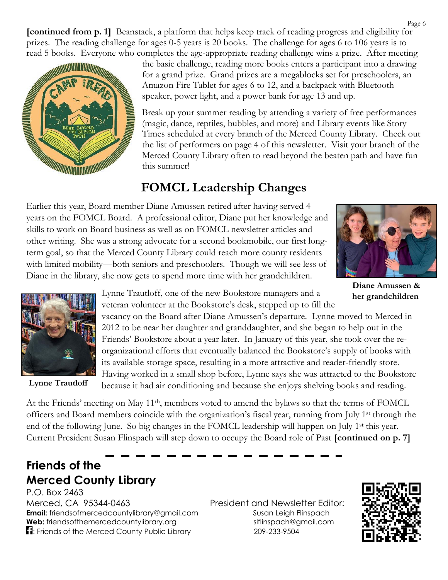**[continued from p. 1]** Beanstack, a platform that helps keep track of reading progress and eligibility for prizes. The reading challenge for ages 0-5 years is 20 books. The challenge for ages 6 to 106 years is to read 5 books. Everyone who completes the age-appropriate reading challenge wins a prize. After meeting



the basic challenge, reading more books enters a participant into a drawing for a grand prize. Grand prizes are a megablocks set for preschoolers, an Amazon Fire Tablet for ages 6 to 12, and a backpack with Bluetooth speaker, power light, and a power bank for age 13 and up.

Break up your summer reading by attending a variety of free performances (magic, dance, reptiles, bubbles, and more) and Library events like Story Times scheduled at every branch of the Merced County Library. Check out the list of performers on page 4 of this newsletter. Visit your branch of the Merced County Library often to read beyond the beaten path and have fun this summer!

# **FOMCL Leadership Changes**

Earlier this year, Board member Diane Amussen retired after having served 4 years on the FOMCL Board. A professional editor, Diane put her knowledge and skills to work on Board business as well as on FOMCL newsletter articles and other writing. She was a strong advocate for a second bookmobile, our first longterm goal, so that the Merced County Library could reach more county residents with limited mobility—both seniors and preschoolers. Though we will see less of Diane in the library, she now gets to spend more time with her grandchildren.



**Diane Amussen & her grandchildren**



**Lynne Trautloff**

Lynne Trautloff, one of the new Bookstore managers and a veteran volunteer at the Bookstore's desk, stepped up to fill the

vacancy on the Board after Diane Amussen's departure. Lynne moved to Merced in 2012 to be near her daughter and granddaughter, and she began to help out in the Friends' Bookstore about a year later. In January of this year, she took over the reorganizational efforts that eventually balanced the Bookstore's supply of books with its available storage space, resulting in a more attractive and reader-friendly store. Having worked in a small shop before, Lynne says she was attracted to the Bookstore because it had air conditioning and because she enjoys shelving books and reading.

At the Friends' meeting on May 11th, members voted to amend the bylaws so that the terms of FOMCL officers and Board members coincide with the organization's fiscal year, running from July 1st through the end of the following June. So big changes in the FOMCL leadership will happen on July 1<sup>st</sup> this year. Current President Susan Flinspach will step down to occupy the Board role of Past **[continued on p. 7]**

# **Friends of the Merced County Library**

P.O. Box 2463 Merced, CA 95344-0463 President and Newsletter Editor: **Email:** friendsofmercedcountylibrary@gmail.com Susan Leigh Flinspach **Web:** friendsofthemercedcountylibrary.org slflinspach@gmail.com **i1**: Friends of the Merced County Public Library 209-233-9504

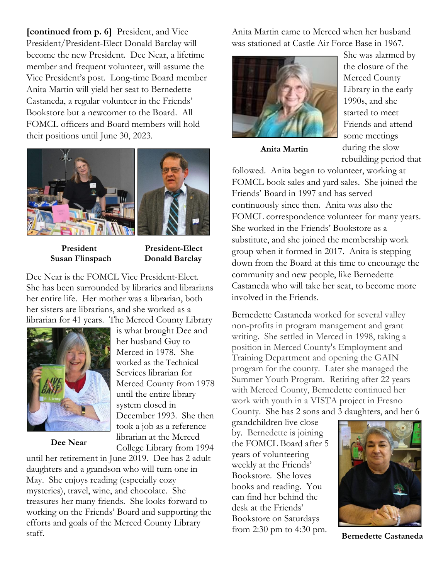**[continued from p. 6]** President, and Vice President/President-Elect Donald Barclay will become the new President. Dee Near, a lifetime member and frequent volunteer, will assume the Vice President's post. Long-time Board member Anita Martin will yield her seat to Bernedette Castaneda, a regular volunteer in the Friends' Bookstore but a newcomer to the Board. All FOMCL officers and Board members will hold their positions until June 30, 2023.



 **Susan Flinspach Donald Barclay**

President President-Elect

is what brought Dee and her husband Guy to Merced in 1978. She worked as the Technical Services librarian for

Merced County from 1978 until the entire library system closed in

December 1993. She then took a job as a reference librarian at the Merced

Dee Near is the FOMCL Vice President-Elect. She has been surrounded by libraries and librarians her entire life. Her mother was a librarian, both her sisters are librarians, and she worked as a librarian for 41 years. The Merced County Library



**Dee Near**

College Library from 1994 until her retirement in June 2019. Dee has 2 adult daughters and a grandson who will turn one in May. She enjoys reading (especially cozy mysteries), travel, wine, and chocolate. She treasures her many friends. She looks forward to working on the Friends' Board and supporting the efforts and goals of the Merced County Library staff.

Anita Martin came to Merced when her husband was stationed at Castle Air Force Base in 1967.



She was alarmed by the closure of the Merced County Library in the early 1990s, and she started to meet Friends and attend some meetings during the slow rebuilding period that

**Anita Martin**

followed. Anita began to volunteer, working at FOMCL book sales and yard sales. She joined the Friends' Board in 1997 and has served continuously since then. Anita was also the FOMCL correspondence volunteer for many years. She worked in the Friends' Bookstore as a substitute, and she joined the membership work group when it formed in 2017. Anita is stepping down from the Board at this time to encourage the community and new people, like Bernedette Castaneda who will take her seat, to become more involved in the Friends.

Bernedette Castaneda worked for several valley non-profits in program management and grant writing. She settled in Merced in 1998, taking a position in Merced County's Employment and Training Department and opening the GAIN program for the county. Later she managed the Summer Youth Program. Retiring after 22 years with Merced County, Bernedette continued her work with youth in a VISTA project in Fresno County. She has 2 sons and 3 daughters, and her 6

grandchildren live close by. Bernedette is joining the FOMCL Board after 5 years of volunteering weekly at the Friends' Bookstore. She loves books and reading. You can find her behind the desk at the Friends' Bookstore on Saturdays from 2:30 pm to 4:30 pm.



**Bernedette Castaneda**